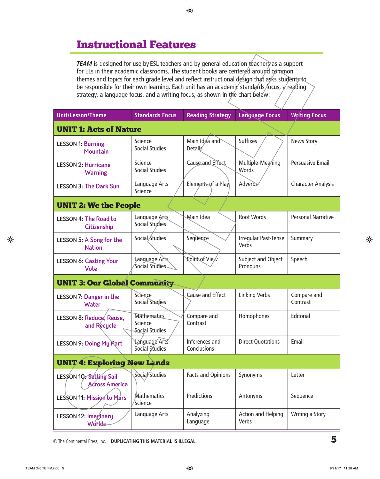# Instructional Features

*TEAM* is designed for use by ESL teachers and by general education teachers as a support for ELs in their academic classrooms. The student books are centered around common themes and topics for each grade level and reflect instructional design that asks students to be responsible for their own learning. Each unit has an academic standards focus, a reading strategy, a language focus, and a writing focus, as shown in the chart below:

| <b>Unit/Lesson/Theme</b>                          | <b>Standards Focus</b>                          | <b>Reading Strategy</b>         | <b>Language Focus</b>          | <b>Writing Focus</b>      |
|---------------------------------------------------|-------------------------------------------------|---------------------------------|--------------------------------|---------------------------|
| <b>UNIT 1: Acts of Nature</b>                     |                                                 |                                 |                                |                           |
| <b>LESSON 1: Burning</b><br>Mountain              | Science<br><b>Social Studies</b>                | Main Idea and<br><b>Details</b> | <b>Suffixes</b>                | <b>News Story</b>         |
| <b>LESSON 2: Hurricane</b><br><b>Warning</b>      | Science<br><b>Social Studies</b>                | Cause and Effect                | Multiple-Meaning<br>Words      | <b>Persuasive Email</b>   |
| <b>LESSON 3: The Dark Sun</b>                     | Language Arts<br><b>Science</b>                 | Elements of a Play              | Adverbs                        | <b>Character Analysis</b> |
| <b>UNIT 2: We the People</b>                      |                                                 |                                 |                                |                           |
| <b>LESSON 4: The Road to</b><br>Citizenship       | Language Arts<br>Social Studies                 | Main Idea                       | <b>Root Words</b>              | <b>Personal Narrative</b> |
| <b>LESSON 5: A Song for the</b><br><b>Nation</b>  | Social Studies                                  | Sequence                        | Irregular Past-Tense<br>Verbs  | Summary                   |
| <b>LESSON 6: Casting Your</b><br>Vote             | Language Arts<br>Social Studies                 | <b>Roint of View</b>            | Subject and Object<br>Pronouns | Speech                    |
| <b>UNIT 3: Our Global Community</b>               |                                                 |                                 |                                |                           |
| <b>LESSON 7: Danger in the</b><br>Water           | Science<br><b>Social Studies</b>                | Cause and Effect                | <b>Linking Verbs</b>           | Compare and<br>Contrast   |
| LESSON 8: Reduce, Reuse,<br>and Recycle           | <b>Mathematics</b><br>Science<br>Social Studies | Compare and<br>Contrast         | Homophones                     | Editorial                 |
| <b>LESSON 9: Doing My Part</b>                    | <b>Language Arts</b><br>Social Studies          | Inferences and<br>Conclusions   | <b>Direct Quotations</b>       | Email                     |
| <b>UNIT 4: Exploring New Lands</b>                |                                                 |                                 |                                |                           |
| LESSON 10. Setting Sail<br><b>Across America</b>  | Social/Studies                                  | <b>Facts and Opinions</b>       | Synonyms                       | Letter                    |
| LESSON 11: Mission to Mars                        | Mathematics<br>/Science                         | Predictions                     | Antonyms                       | Sequence                  |
| <b>LESSON 12: Imaginary</b><br>Worl <del>ds</del> | Language Arts                                   | Analyzing<br>Language           | Action and Helping<br>Verbs    | Writing a Story           |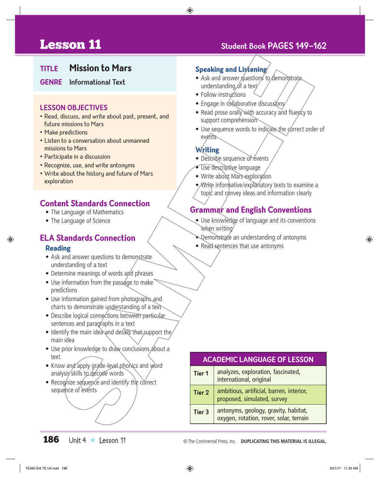# **Lesson 11** Student Book PAGES 149-162

### **Title Mission to Mars**

#### **Genre Informational Text**

#### **LESSON OBJECTIVES**

- Read, discuss, and write about past, present, and future missions to Mars
- Make predictions
- Listen to a conversation about unmanned missions to Mars
- Participate in a discussion
- Recognize, use, and write antonyms
- Write about the historu and future of Mars exploration

#### **Content Standards Connection**

- The Language of Mathematics
- The Language of Science

# **ELA Standards Connection**

#### **Reading**

- Ask and answer questions to demonstrate understanding of a text
- Determine meanings of words and phrases
- $\bullet$  Use information from the passage to make predictions
- Use information gained from photographs and charts to demonstrate understanding of a text
- Describe logical connections between particular sentences and paragraphs in a text
- Identify the main idea and details that support the main idea
- Use prior knowledge to draw conclusions about a text
- Know and apply grade-level phonics and word analysis skills to decode words
- Recognize sequence and identify the correct sequence of events

#### **Speaking and Listening**

- Ask and answer guestions to demonstrate understanding of a text/
- Follow instructions
- Engage in collaborative discussions
- Read prose orally with accuracy and fluency to support comprehension
- Use sequence words to indicate the correct order of events

#### **Writing**

- Describe sequence of évents
- Use descriptive language
- Write about Mars exploration
- *N*Vrite informative/explanatory texts to examine a topic and  $\epsilon$  onvey ideas and information clearly

### **Grammar and English Conventions**

- Use knowledge of language and its conventions when writing
- Demonstrate an understanding of antonyms
- Read sentences that use antonyms

#### **ACADEMIC LANGUAGE OF LESSON Tier 1** analyzes, exploration, fascinated, international, original

**Tier 2** ambitious, artificial, barren, interior, proposed, simulated, survey **Tier 3** antonyms, geology, gravity, habitat, oxygen, rotation, rover, solar, terrain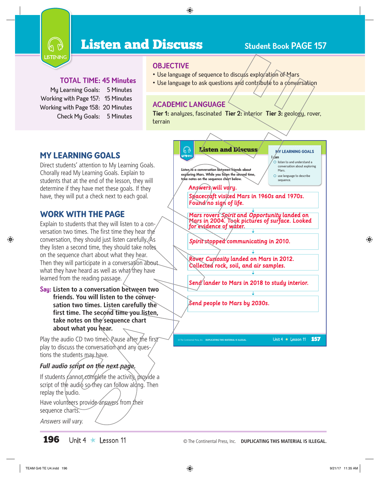

# **Listen and Discuss** Student Book PAGE 157

#### **Total Time: 45 Minutes**

My Learning Goals: 5 Minutes Working with Page 157: 15 Minutes Working with Page 158: 20 Minutes Check My Goals: 5 Minutes

#### **OBJECTIVE**

- Use language of sequence to discuss exploration of Mars
- Use language to ask questions and contribute to a conversation

#### **Academic Language**

**Tier 1:** analyzes, fascinated **Tier 2:** interior **Tier 3:** geology, rover, terrain



Direct students' attention to My Learning Goals. Chorally read My Learning Goals. Explain to students that at the end of the lesson, they will determine if they have met these goals. If they have, they will put a check next to each goal.

### WORK WITH THE PAGE

Explain to students that they will listen to a conversation two times. The first time they hear the conversation, they should just listen carefully. As they listen a second time, they should take notes on the sequence chart about what they hear. Then they will participate in a conversation about what they have heard as well as what they have learned from the reading passage.

**Say: Listen to a conversation between two friends. You will listen to the conversation two times. Listen carefully the first time. The second time you listen,**  take notes on the<sup>/</sup>sequence chart **about what you hear.**

Play the audio CD two times. Pause after the first play to discuss the conversation and any questions the students may have.

#### *Full audio script on the next page.*

If students cannot complete the activity, provide a script of the audio so they can follow along. Then replay the audio.

Have volunteers provide answers from their sequence charts.

Answers will vary.

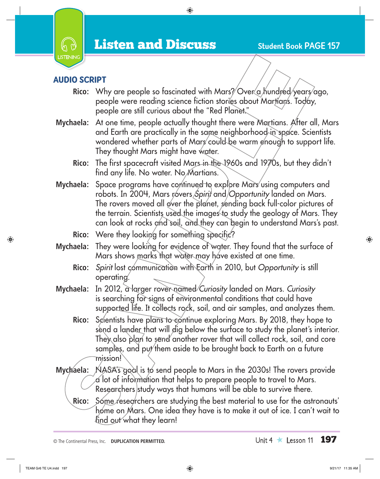

## Audio script

- Rico: Why are people so fascinated with Mars? Over a hundred years ago, people were reading science fiction stories about Martians. Today, people are still curious about the "Red Planet."
- **Mychaela:** At one time, people actually thought there were Martians. After all, Mars and Earth are practically in the same neighborhood in space. Scientists wondered whether parts of Mars could be warm enough to support life. They thought Mars might have water.
	- **Rico:** The first spacecraft visited Mars in the 1960s and 1970s, but they didn't find any life. No water. No Martians.
- **Mychaela:** Space programs have continued to explore Mars using computers and robots. In 2004, Mars rovers Spirit and Opportunity landed on Mars. The rovers moved all over the planet, sending back full-color pictures of the terrain. Scientists used the images to study the geology of Mars. They can look at rocks and soil, and they can begin to understand Mars's past.
	- **Rico:** Were they looking for something specific?
- **Mychaela:** They were looking for evidence of water. They found that the surface of Mars shows marks that water may have existed at one time.
	- **Rico:** *Spirit* lost communication with Earth in 2010, but *Opportunity* is still operating.
- **Mychaela:** In 2012, a larger rover named *Curiosity* landed on Mars. *Curiosity* is searching for signs of environmental conditions that could have supported life. It collects rock, soil, and air samples, and analyzes them.
	- **Rico:** Scientists have plans to continue exploring Mars. By 2018, they hope to send a lander that will dig below the surface to study the planet's interior. They also plan to send another rover that will collect rock, soil, and core samples, and put them aside to be brought back to Earth on a future mission!
- **Mychaela:** NASA's goal is to send people to Mars in the 2030s! The rovers provide  $\alpha$  lot of information that helps to prepare people to travel to Mars. Researchers study ways that humans will be able to survive there.
	- Rico: Some researchers are studying the best material to use for the astronauts' home on Mars. One idea they have is to make it out of ice. I can't wait to find out what they learn!